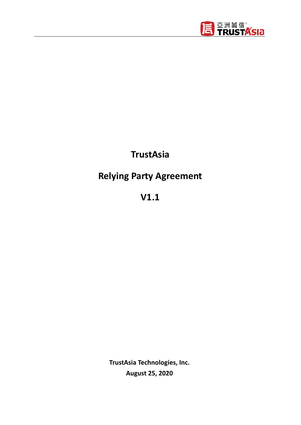

## **TrustAsia**

# **Relying Party Agreement**

**V1.1**

**TrustAsia Technologies, Inc. August 25, 2020**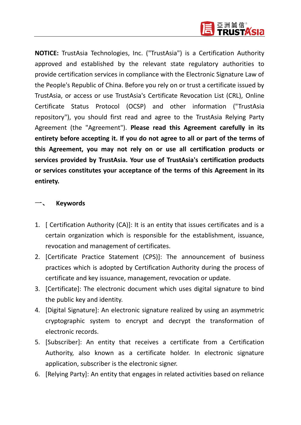

**NOTICE:** TrustAsia Technologies, Inc. ("TrustAsia") is a Certification Authority approved and established by the relevant state regulatory authorities to provide certification services in compliance with the Electronic Signature Law of the People's Republic of China. Before you rely on or trust a certificate issued by TrustAsia, or access or use TrustAsia's Certificate Revocation List (CRL), Online Certificate Status Protocol (OCSP) and other information ("TrustAsia repository"), you should first read and agree to the TrustAsia Relying Party Agreement (the "Agreement"). **Please read this Agreement carefully in its entirety before accepting it. If you do not agree to all or part of the terms of this Agreement, you may not rely on or use all certification products or services provided by TrustAsia. Your use of TrustAsia's certification products or services constitutes your acceptance of the terms of this Agreement in its entirety.**

#### 一、 **Keywords**

- 1. [ Certification Authority (CA)]: It is an entity that issues certificates and is a certain organization which is responsible for the establishment, issuance, revocation and management of certificates.
- 2. [Certificate Practice Statement (CPS)]: The announcement of business practices which is adopted by Certification Authority during the process of certificate and key issuance, management, revocation or update.
- 3. [Certificate]: The electronic document which uses digital signature to bind the public key and identity.
- 4. [Digital Signature]: An electronic signature realized by using an asymmetric cryptographic system to encrypt and decrypt the transformation of electronic records.
- 5. [Subscriber]: An entity that receives a certificate from a Certification Authority, also known as a certificate holder. In electronic signature application, subscriber is the electronic signer.
- 6. [Relying Party]: An entity that engages in related activities based on reliance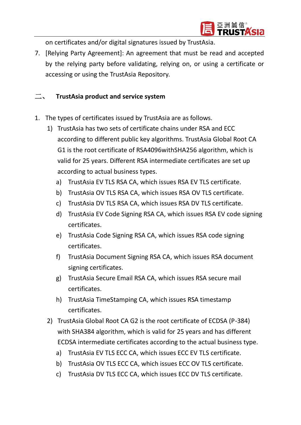

on certificates and/or digital signatures issued by TrustAsia.

7. [Relying Party Agreement]: An agreement that must be read and accepted by the relying party before validating, relying on, or using a certificate or accessing or using the TrustAsia Repository.

#### 二、 **TrustAsia product and service system**

- 1. The types of certificates issued by TrustAsia are as follows.
	- 1) TrustAsia has two sets of certificate chains under RSA and ECC according to different public key algorithms. TrustAsia Global Root CA G1 is the root certificate of RSA4096withSHA256 algorithm, which is valid for 25 years. Different RSA intermediate certificates are set up according to actual business types.
		- a) TrustAsia EV TLS RSA CA, which issues RSA EV TLS certificate.
		- b) TrustAsia OV TLS RSA CA, which issues RSA OV TLS certificate.
		- c) TrustAsia DV TLS RSA CA, which issues RSA DV TLS certificate.
		- d) TrustAsia EV Code Signing RSA CA, which issues RSA EV code signing certificates.
		- e) TrustAsia Code Signing RSA CA, which issues RSA code signing certificates.
		- f) TrustAsia Document Signing RSA CA, which issues RSA document signing certificates.
		- g) TrustAsia Secure Email RSA CA, which issues RSA secure mail certificates.
		- h) TrustAsia TimeStamping CA, which issues RSA timestamp certificates.
	- 2) TrustAsia Global Root CA G2 is the root certificate of ECDSA (P-384) with SHA384 algorithm, which is valid for 25 years and has different ECDSA intermediate certificates according to the actual business type.
		- a) TrustAsia EV TLS ECC CA, which issues ECC EV TLS certificate.
		- b) TrustAsia OV TLS ECC CA, which issues ECC OV TLS certificate.
		- c) TrustAsia DV TLS ECC CA, which issues ECC DV TLS certificate.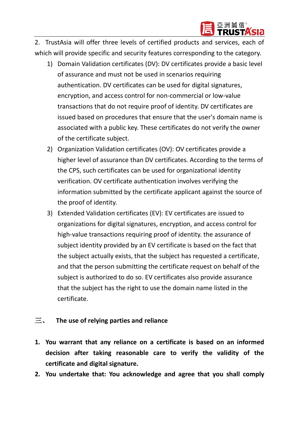

2. TrustAsia will offer three levels of certified products and services, each of which will provide specific and security features corresponding to the category.

- 1) Domain Validation certificates (DV): DV certificates provide a basic level of assurance and must not be used in scenarios requiring authentication. DV certificates can be used for digital signatures, encryption, and access control for non-commercial or low-value transactions that do not require proof of identity. DV certificates are issued based on procedures that ensure that the user's domain name is associated with a public key. These certificates do not verify the owner of the certificate subject.
- 2) Organization Validation certificates (OV): OV certificates provide a higher level of assurance than DV certificates. According to the terms of the CPS, such certificates can be used for organizational identity verification. OV certificate authentication involves verifying the information submitted by the certificate applicant against the source of the proof of identity.
- 3) Extended Validation certificates (EV): EV certificates are issued to organizations for digital signatures, encryption, and access control for high-value transactions requiring proof of identity. the assurance of subject identity provided by an EV certificate is based on the fact that the subject actually exists, that the subject has requested a certificate, and that the person submitting the certificate request on behalf of the subject is authorized to do so. EV certificates also provide assurance that the subject has the right to use the domain name listed in the certificate.

#### 三、 **The use of relying parties and reliance**

- **1. You warrant that any reliance on a certificate is based on an informed decision after taking reasonable care to verify the validity of the certificate and digital signature.**
- **2. You undertake that: You acknowledge and agree that you shall comply**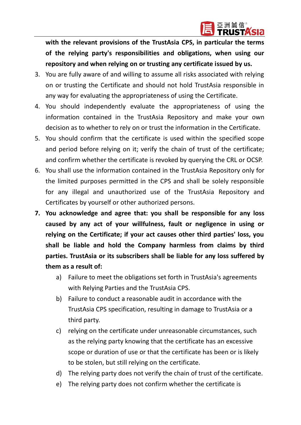

**with the relevant provisions of the TrustAsia CPS, in particular the terms of the relying party's responsibilities and obligations, when using our repository and when relying on or trusting any certificate issued by us.**

- 3. You are fully aware of and willing to assume all risks associated with relying on or trusting the Certificate and should not hold TrustAsia responsible in any way for evaluating the appropriateness of using the Certificate.
- 4. You should independently evaluate the appropriateness of using the information contained in the TrustAsia Repository and make your own decision as to whether to rely on or trust the information in the Certificate.
- 5. You should confirm that the certificate is used within the specified scope and period before relying on it; verify the chain of trust of the certificate; and confirm whether the certificate is revoked by querying the CRL or OCSP.
- 6. You shall use the information contained in the TrustAsia Repository only for the limited purposes permitted in the CPS and shall be solely responsible for any illegal and unauthorized use of the TrustAsia Repository and Certificates by yourself or other authorized persons.
- **7. You acknowledge and agree that: you shall be responsible for any loss caused by any act of your willfulness, fault or negligence in using or relying on the Certificate; if your act causes other third parties' loss, you shall be liable and hold the Company harmless from claims by third parties. TrustAsia or its subscribers shall be liable for any loss suffered by them as a result of:**
	- a) Failure to meet the obligations set forth in TrustAsia's agreements with Relying Parties and the TrustAsia CPS.
	- b) Failure to conduct a reasonable audit in accordance with the TrustAsia CPS specification, resulting in damage to TrustAsia or a third party.
	- c) relying on the certificate under unreasonable circumstances, such as the relying party knowing that the certificate has an excessive scope or duration of use or that the certificate has been or is likely to be stolen, but still relying on the certificate.
	- d) The relying party does not verify the chain of trust of the certificate.
	- e) The relying party does not confirm whether the certificate is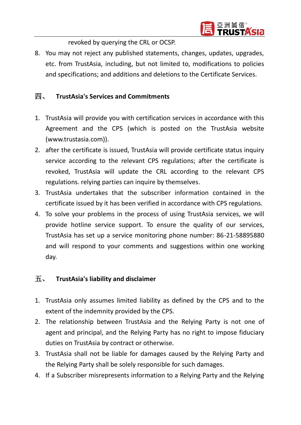

revoked by querying the CRL or OCSP.

8. You may not reject any published statements, changes, updates, upgrades, etc. from TrustAsia, including, but not limited to, modifications to policies and specifications; and additions and deletions to the Certificate Services.

#### 四、 **TrustAsia's Services and Commitments**

- 1. TrustAsia will provide you with certification services in accordance with this Agreement and the CPS (which is posted on the TrustAsia website (www.trustasia.com)).
- 2. after the certificate is issued, TrustAsia will provide certificate status inquiry service according to the relevant CPS regulations; after the certificate is revoked, TrustAsia will update the CRL according to the relevant CPS regulations. relying parties can inquire by themselves.
- 3. TrustAsia undertakes that the subscriber information contained in the certificate issued by it has been verified in accordance with CPS regulations.
- 4. To solve your problems in the process of using TrustAsia services, we will provide hotline service support. To ensure the quality of our services, TrustAsia has set up a service monitoring phone number: 86-21-58895880 and will respond to your comments and suggestions within one working day.

#### 五、 **TrustAsia's liability and disclaimer**

- 1. TrustAsia only assumes limited liability as defined by the CPS and to the extent of the indemnity provided by the CPS.
- 2. The relationship between TrustAsia and the Relying Party is not one of agent and principal, and the Relying Party has no right to impose fiduciary duties on TrustAsia by contract or otherwise.
- 3. TrustAsia shall not be liable for damages caused by the Relying Party and the Relying Party shall be solely responsible for such damages.
- 4. If a Subscriber misrepresents information to a Relying Party and the Relying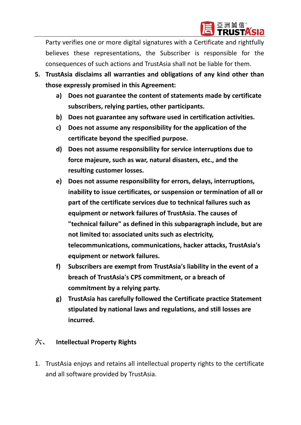

Party verifies one or more digital signatures with a Certificate and rightfully believes these representations, the Subscriber is responsible for the consequences of such actions and TrustAsia shall not be liable for them.

- **5. TrustAsia disclaims all warranties and obligations of any kind other than those expressly promised in this Agreement:**
	- **a) Does not guarantee the content of statements made by certificate subscribers, relying parties, other participants.**
	- **b) Does not guarantee any software used in certification activities.**
	- **c) Does not assume any responsibility for the application of the certificate beyond the specified purpose.**
	- **d) Does not assume responsibility for service interruptions due to force majeure, such as war, natural disasters, etc., and the resulting customer losses.**
	- **e) Does not assume responsibility for errors, delays, interruptions, inability to issue certificates, or suspension or termination of all or part of the certificate services due to technical failures such as equipment or network failures of TrustAsia. The causes of "technical failure" as defined in this subparagraph include, but are not limited to: associated units such as electricity, telecommunications, communications, hacker attacks, TrustAsia's equipment or network failures.**
	- **f) Subscribers are exempt from TrustAsia's liability in the event of a breach of TrustAsia's CPS commitment, or a breach of commitment by a relying party.**
	- **g) TrustAsia has carefully followed the Certificate practice Statement stipulated by national laws and regulations, and still losses are incurred.**

## 六、 **Intellectual Property Rights**

1. TrustAsia enjoys and retains all intellectual property rights to the certificate and all software provided by TrustAsia.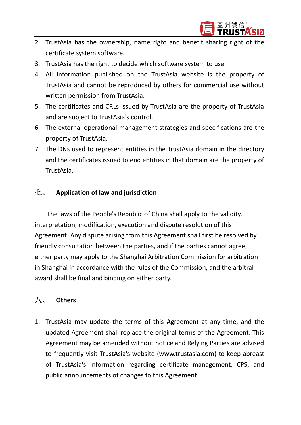

- 2. TrustAsia has the ownership, name right and benefit sharing right of the certificate system software.
- 3. TrustAsia has the right to decide which software system to use.
- 4. All information published on the TrustAsia website is the property of TrustAsia and cannot be reproduced by others for commercial use without written permission from TrustAsia.
- 5. The certificates and CRLs issued by TrustAsia are the property of TrustAsia and are subject to TrustAsia's control.
- 6. The external operational management strategies and specifications are the property of TrustAsia.
- 7. The DNs used to represent entities in the TrustAsia domain in the directory and the certificates issued to end entities in that domain are the property of TrustAsia.

### 七、 **Application of law and jurisdiction**

The laws of the People's Republic of China shall apply to the validity, interpretation, modification, execution and dispute resolution of this Agreement. Any dispute arising from this Agreement shall first be resolved by friendly consultation between the parties, and if the parties cannot agree, either party may apply to the Shanghai Arbitration Commission for arbitration in Shanghai in accordance with the rules of the Commission, and the arbitral award shall be final and binding on either party.

## 八、 **Others**

1. TrustAsia may update the terms of this Agreement at any time, and the updated Agreement shall replace the original terms of the Agreement. This Agreement may be amended without notice and Relying Parties are advised to frequently visit TrustAsia's website (www.trustasia.com) to keep abreast of TrustAsia's information regarding certificate management, CPS, and public announcements of changes to this Agreement.